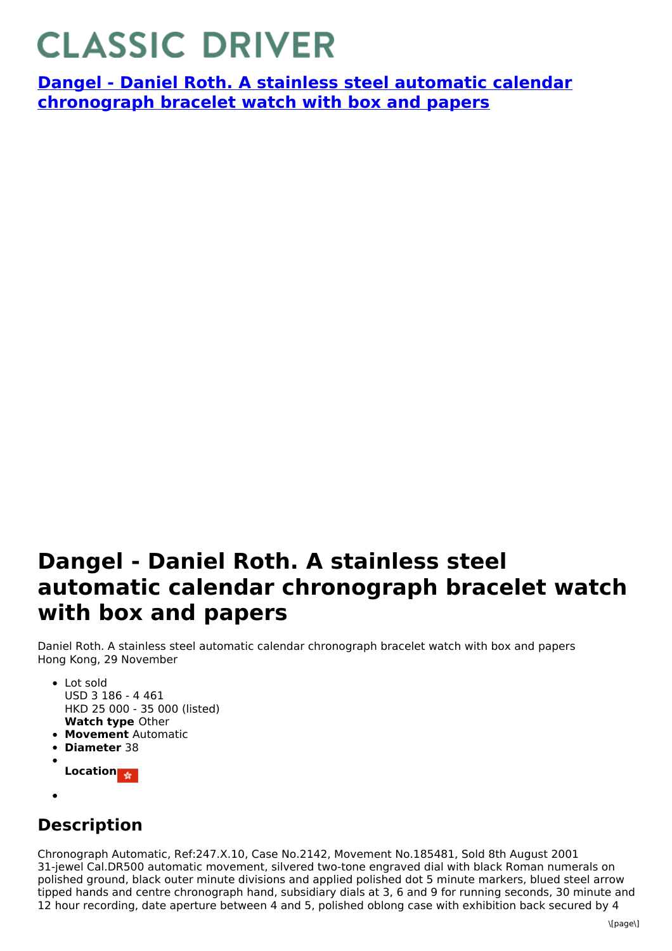## **CLASSIC DRIVER**

**Dangel - Daniel Roth. A stainless steel automatic calendar [chronograph](https://www.classicdriver.com/en/watch/dangel/266891) bracelet watch with box and papers**

## **Dangel - Daniel Roth. A stainless steel automatic calendar chronograph bracelet watch with box and papers**

Daniel Roth. A stainless steel automatic calendar chronograph bracelet watch with box and papers Hong Kong, 29 November

- **Watch type** Other Lot sold USD 3 186 - 4 461 HKD 25 000 - 35 000 (listed)
- **Movement** Automatic
- **Diameter** 38
- **Location**
- 

## **Description**

Chronograph Automatic, Ref:247.X.10, Case No.2142, Movement No.185481, Sold 8th August 2001 31-jewel Cal.DR500 automatic movement, silvered two-tone engraved dial with black Roman numerals on polished ground, black outer minute divisions and applied polished dot 5 minute markers, blued steel arrow tipped hands and centre chronograph hand, subsidiary dials at 3, 6 and 9 for running seconds, 30 minute and 12 hour recording, date aperture between 4 and 5, polished oblong case with exhibition back secured by 4